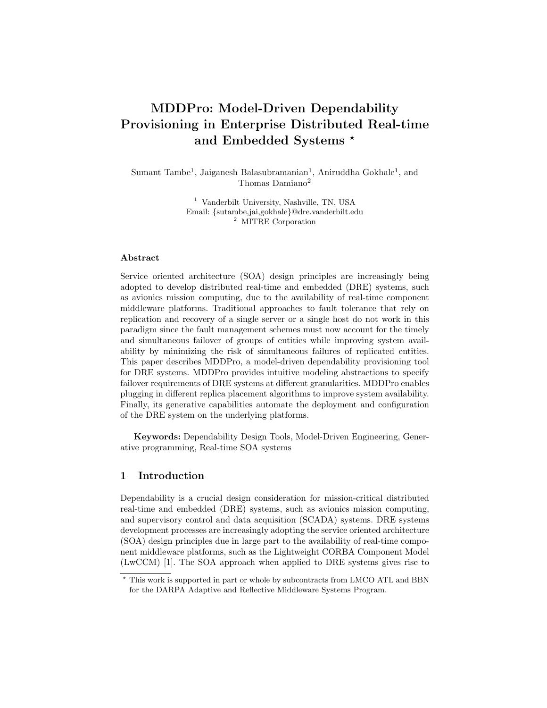# MDDPro: Model-Driven Dependability Provisioning in Enterprise Distributed Real-time and Embedded Systems \*

Sumant Tambe<sup>1</sup>, Jaiganesh Balasubramanian<sup>1</sup>, Aniruddha Gokhale<sup>1</sup>, and Thomas Damiano<sup>2</sup>

> <sup>1</sup> Vanderbilt University, Nashville, TN, USA Email: {sutambe,jai,gokhale}@dre.vanderbilt.edu <sup>2</sup> MITRE Corporation

#### Abstract

Service oriented architecture (SOA) design principles are increasingly being adopted to develop distributed real-time and embedded (DRE) systems, such as avionics mission computing, due to the availability of real-time component middleware platforms. Traditional approaches to fault tolerance that rely on replication and recovery of a single server or a single host do not work in this paradigm since the fault management schemes must now account for the timely and simultaneous failover of groups of entities while improving system availability by minimizing the risk of simultaneous failures of replicated entities. This paper describes MDDPro, a model-driven dependability provisioning tool for DRE systems. MDDPro provides intuitive modeling abstractions to specify failover requirements of DRE systems at different granularities. MDDPro enables plugging in different replica placement algorithms to improve system availability. Finally, its generative capabilities automate the deployment and configuration of the DRE system on the underlying platforms.

Keywords: Dependability Design Tools, Model-Driven Engineering, Generative programming, Real-time SOA systems

# 1 Introduction

Dependability is a crucial design consideration for mission-critical distributed real-time and embedded (DRE) systems, such as avionics mission computing, and supervisory control and data acquisition (SCADA) systems. DRE systems development processes are increasingly adopting the service oriented architecture (SOA) design principles due in large part to the availability of real-time component middleware platforms, such as the Lightweight CORBA Component Model (LwCCM) [1]. The SOA approach when applied to DRE systems gives rise to

<sup>?</sup> This work is supported in part or whole by subcontracts from LMCO ATL and BBN for the DARPA Adaptive and Reflective Middleware Systems Program.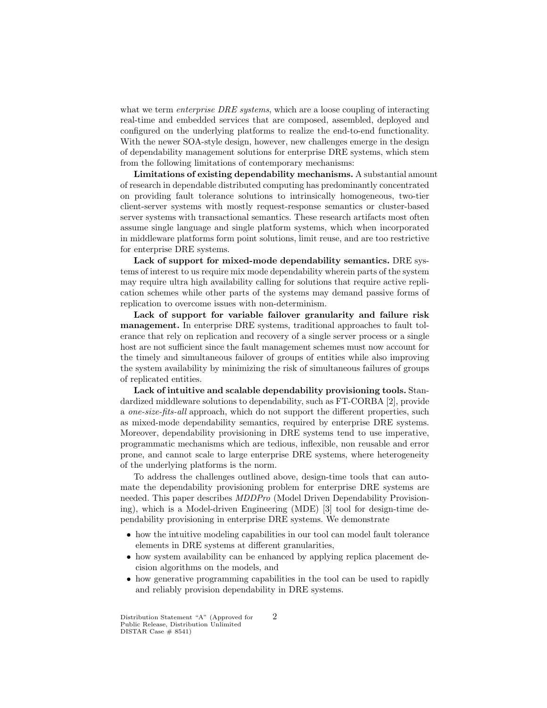what we term *enterprise DRE systems*, which are a loose coupling of interacting real-time and embedded services that are composed, assembled, deployed and configured on the underlying platforms to realize the end-to-end functionality. With the newer SOA-style design, however, new challenges emerge in the design of dependability management solutions for enterprise DRE systems, which stem from the following limitations of contemporary mechanisms:

Limitations of existing dependability mechanisms. A substantial amount of research in dependable distributed computing has predominantly concentrated on providing fault tolerance solutions to intrinsically homogeneous, two-tier client-server systems with mostly request-response semantics or cluster-based server systems with transactional semantics. These research artifacts most often assume single language and single platform systems, which when incorporated in middleware platforms form point solutions, limit reuse, and are too restrictive for enterprise DRE systems.

Lack of support for mixed-mode dependability semantics. DRE systems of interest to us require mix mode dependability wherein parts of the system may require ultra high availability calling for solutions that require active replication schemes while other parts of the systems may demand passive forms of replication to overcome issues with non-determinism.

Lack of support for variable failover granularity and failure risk management. In enterprise DRE systems, traditional approaches to fault tolerance that rely on replication and recovery of a single server process or a single host are not sufficient since the fault management schemes must now account for the timely and simultaneous failover of groups of entities while also improving the system availability by minimizing the risk of simultaneous failures of groups of replicated entities.

Lack of intuitive and scalable dependability provisioning tools. Standardized middleware solutions to dependability, such as FT-CORBA [2], provide a one-size-fits-all approach, which do not support the different properties, such as mixed-mode dependability semantics, required by enterprise DRE systems. Moreover, dependability provisioning in DRE systems tend to use imperative, programmatic mechanisms which are tedious, inflexible, non reusable and error prone, and cannot scale to large enterprise DRE systems, where heterogeneity of the underlying platforms is the norm.

To address the challenges outlined above, design-time tools that can automate the dependability provisioning problem for enterprise DRE systems are needed. This paper describes MDDPro (Model Driven Dependability Provisioning), which is a Model-driven Engineering (MDE) [3] tool for design-time dependability provisioning in enterprise DRE systems. We demonstrate

- how the intuitive modeling capabilities in our tool can model fault tolerance elements in DRE systems at different granularities,
- how system availability can be enhanced by applying replica placement decision algorithms on the models, and
- how generative programming capabilities in the tool can be used to rapidly and reliably provision dependability in DRE systems.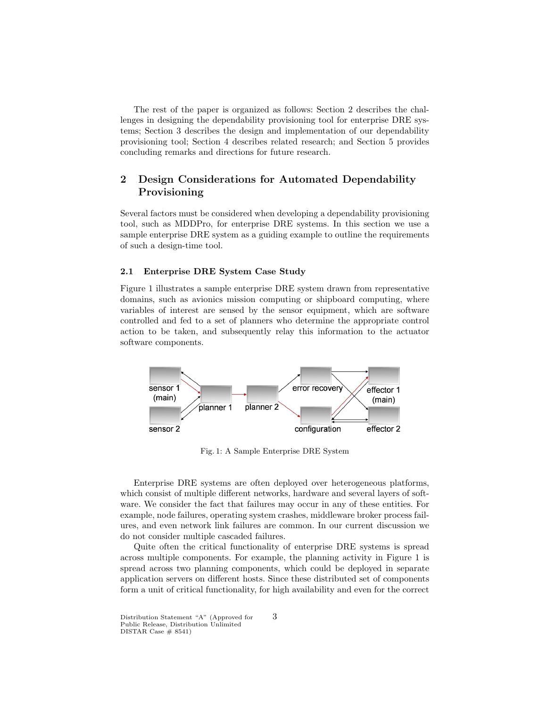The rest of the paper is organized as follows: Section 2 describes the challenges in designing the dependability provisioning tool for enterprise DRE systems; Section 3 describes the design and implementation of our dependability provisioning tool; Section 4 describes related research; and Section 5 provides concluding remarks and directions for future research.

# 2 Design Considerations for Automated Dependability Provisioning

Several factors must be considered when developing a dependability provisioning tool, such as MDDPro, for enterprise DRE systems. In this section we use a sample enterprise DRE system as a guiding example to outline the requirements of such a design-time tool.

#### 2.1 Enterprise DRE System Case Study

Figure 1 illustrates a sample enterprise DRE system drawn from representative domains, such as avionics mission computing or shipboard computing, where variables of interest are sensed by the sensor equipment, which are software controlled and fed to a set of planners who determine the appropriate control action to be taken, and subsequently relay this information to the actuator software components.



Fig. 1: A Sample Enterprise DRE System

Enterprise DRE systems are often deployed over heterogeneous platforms, which consist of multiple different networks, hardware and several layers of software. We consider the fact that failures may occur in any of these entities. For example, node failures, operating system crashes, middleware broker process failures, and even network link failures are common. In our current discussion we do not consider multiple cascaded failures.

Quite often the critical functionality of enterprise DRE systems is spread across multiple components. For example, the planning activity in Figure 1 is spread across two planning components, which could be deployed in separate application servers on different hosts. Since these distributed set of components form a unit of critical functionality, for high availability and even for the correct

3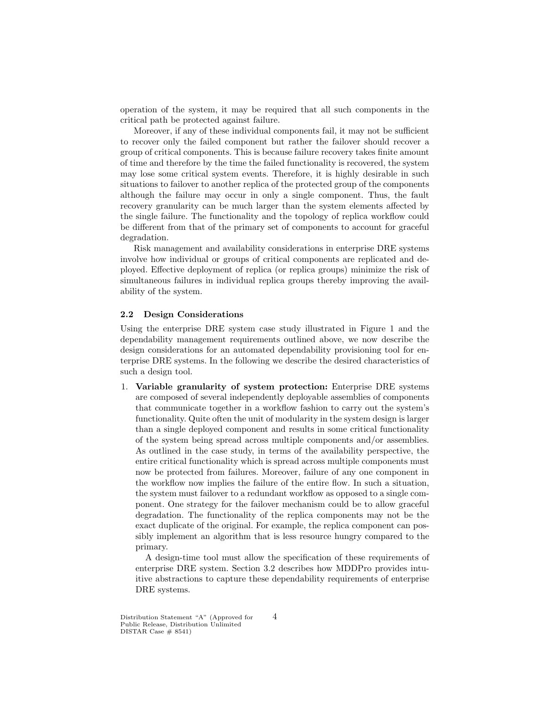operation of the system, it may be required that all such components in the critical path be protected against failure.

Moreover, if any of these individual components fail, it may not be sufficient to recover only the failed component but rather the failover should recover a group of critical components. This is because failure recovery takes finite amount of time and therefore by the time the failed functionality is recovered, the system may lose some critical system events. Therefore, it is highly desirable in such situations to failover to another replica of the protected group of the components although the failure may occur in only a single component. Thus, the fault recovery granularity can be much larger than the system elements affected by the single failure. The functionality and the topology of replica workflow could be different from that of the primary set of components to account for graceful degradation.

Risk management and availability considerations in enterprise DRE systems involve how individual or groups of critical components are replicated and deployed. Effective deployment of replica (or replica groups) minimize the risk of simultaneous failures in individual replica groups thereby improving the availability of the system.

### 2.2 Design Considerations

Using the enterprise DRE system case study illustrated in Figure 1 and the dependability management requirements outlined above, we now describe the design considerations for an automated dependability provisioning tool for enterprise DRE systems. In the following we describe the desired characteristics of such a design tool.

1. Variable granularity of system protection: Enterprise DRE systems are composed of several independently deployable assemblies of components that communicate together in a workflow fashion to carry out the system's functionality. Quite often the unit of modularity in the system design is larger than a single deployed component and results in some critical functionality of the system being spread across multiple components and/or assemblies. As outlined in the case study, in terms of the availability perspective, the entire critical functionality which is spread across multiple components must now be protected from failures. Moreover, failure of any one component in the workflow now implies the failure of the entire flow. In such a situation, the system must failover to a redundant workflow as opposed to a single component. One strategy for the failover mechanism could be to allow graceful degradation. The functionality of the replica components may not be the exact duplicate of the original. For example, the replica component can possibly implement an algorithm that is less resource hungry compared to the primary.

A design-time tool must allow the specification of these requirements of enterprise DRE system. Section 3.2 describes how MDDPro provides intuitive abstractions to capture these dependability requirements of enterprise DRE systems.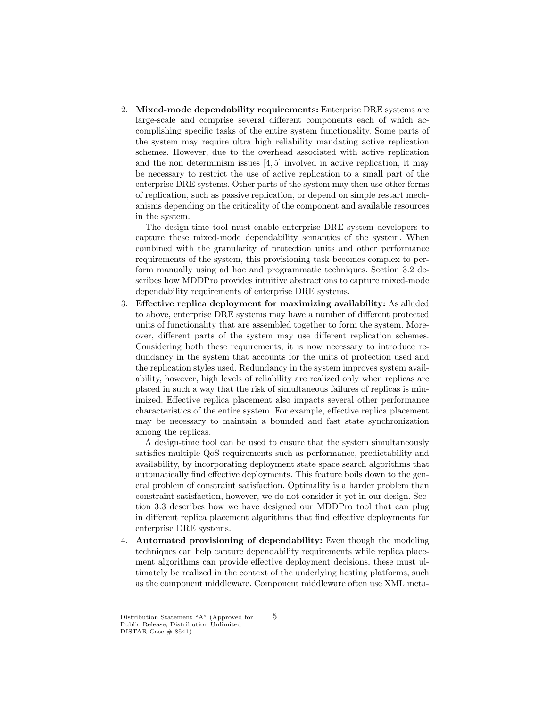2. Mixed-mode dependability requirements: Enterprise DRE systems are large-scale and comprise several different components each of which accomplishing specific tasks of the entire system functionality. Some parts of the system may require ultra high reliability mandating active replication schemes. However, due to the overhead associated with active replication and the non determinism issues [4, 5] involved in active replication, it may be necessary to restrict the use of active replication to a small part of the enterprise DRE systems. Other parts of the system may then use other forms of replication, such as passive replication, or depend on simple restart mechanisms depending on the criticality of the component and available resources in the system.

The design-time tool must enable enterprise DRE system developers to capture these mixed-mode dependability semantics of the system. When combined with the granularity of protection units and other performance requirements of the system, this provisioning task becomes complex to perform manually using ad hoc and programmatic techniques. Section 3.2 describes how MDDPro provides intuitive abstractions to capture mixed-mode dependability requirements of enterprise DRE systems.

3. Effective replica deployment for maximizing availability: As alluded to above, enterprise DRE systems may have a number of different protected units of functionality that are assembled together to form the system. Moreover, different parts of the system may use different replication schemes. Considering both these requirements, it is now necessary to introduce redundancy in the system that accounts for the units of protection used and the replication styles used. Redundancy in the system improves system availability, however, high levels of reliability are realized only when replicas are placed in such a way that the risk of simultaneous failures of replicas is minimized. Effective replica placement also impacts several other performance characteristics of the entire system. For example, effective replica placement may be necessary to maintain a bounded and fast state synchronization among the replicas.

A design-time tool can be used to ensure that the system simultaneously satisfies multiple QoS requirements such as performance, predictability and availability, by incorporating deployment state space search algorithms that automatically find effective deployments. This feature boils down to the general problem of constraint satisfaction. Optimality is a harder problem than constraint satisfaction, however, we do not consider it yet in our design. Section 3.3 describes how we have designed our MDDPro tool that can plug in different replica placement algorithms that find effective deployments for enterprise DRE systems.

4. Automated provisioning of dependability: Even though the modeling techniques can help capture dependability requirements while replica placement algorithms can provide effective deployment decisions, these must ultimately be realized in the context of the underlying hosting platforms, such as the component middleware. Component middleware often use XML meta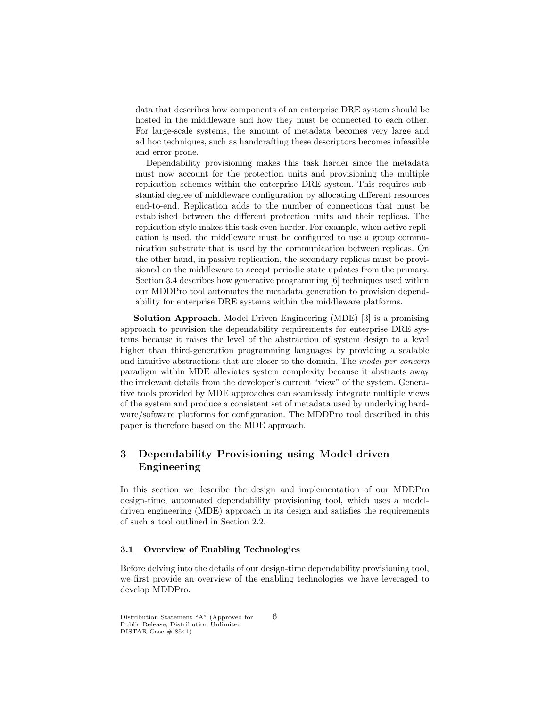data that describes how components of an enterprise DRE system should be hosted in the middleware and how they must be connected to each other. For large-scale systems, the amount of metadata becomes very large and ad hoc techniques, such as handcrafting these descriptors becomes infeasible and error prone.

Dependability provisioning makes this task harder since the metadata must now account for the protection units and provisioning the multiple replication schemes within the enterprise DRE system. This requires substantial degree of middleware configuration by allocating different resources end-to-end. Replication adds to the number of connections that must be established between the different protection units and their replicas. The replication style makes this task even harder. For example, when active replication is used, the middleware must be configured to use a group communication substrate that is used by the communication between replicas. On the other hand, in passive replication, the secondary replicas must be provisioned on the middleware to accept periodic state updates from the primary. Section 3.4 describes how generative programming [6] techniques used within our MDDPro tool automates the metadata generation to provision dependability for enterprise DRE systems within the middleware platforms.

Solution Approach. Model Driven Engineering (MDE) [3] is a promising approach to provision the dependability requirements for enterprise DRE systems because it raises the level of the abstraction of system design to a level higher than third-generation programming languages by providing a scalable and intuitive abstractions that are closer to the domain. The model-per-concern paradigm within MDE alleviates system complexity because it abstracts away the irrelevant details from the developer's current "view" of the system. Generative tools provided by MDE approaches can seamlessly integrate multiple views of the system and produce a consistent set of metadata used by underlying hardware/software platforms for configuration. The MDDPro tool described in this paper is therefore based on the MDE approach.

# 3 Dependability Provisioning using Model-driven Engineering

In this section we describe the design and implementation of our MDDPro design-time, automated dependability provisioning tool, which uses a modeldriven engineering (MDE) approach in its design and satisfies the requirements of such a tool outlined in Section 2.2.

#### 3.1 Overview of Enabling Technologies

Before delving into the details of our design-time dependability provisioning tool, we first provide an overview of the enabling technologies we have leveraged to develop MDDPro.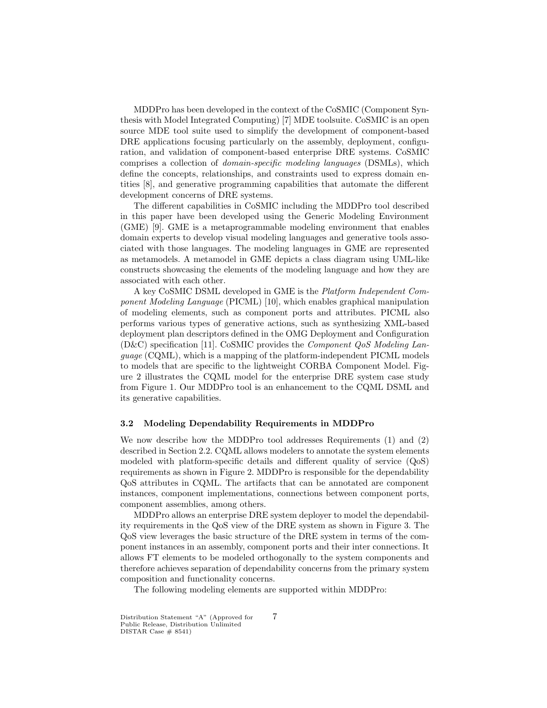MDDPro has been developed in the context of the CoSMIC (Component Synthesis with Model Integrated Computing) [7] MDE toolsuite. CoSMIC is an open source MDE tool suite used to simplify the development of component-based DRE applications focusing particularly on the assembly, deployment, configuration, and validation of component-based enterprise DRE systems. CoSMIC comprises a collection of domain-specific modeling languages (DSMLs), which define the concepts, relationships, and constraints used to express domain entities [8], and generative programming capabilities that automate the different development concerns of DRE systems.

The different capabilities in CoSMIC including the MDDPro tool described in this paper have been developed using the Generic Modeling Environment (GME) [9]. GME is a metaprogrammable modeling environment that enables domain experts to develop visual modeling languages and generative tools associated with those languages. The modeling languages in GME are represented as metamodels. A metamodel in GME depicts a class diagram using UML-like constructs showcasing the elements of the modeling language and how they are associated with each other.

A key CoSMIC DSML developed in GME is the Platform Independent Component Modeling Language (PICML) [10], which enables graphical manipulation of modeling elements, such as component ports and attributes. PICML also performs various types of generative actions, such as synthesizing XML-based deployment plan descriptors defined in the OMG Deployment and Configuration (D&C) specification [11]. CoSMIC provides the Component QoS Modeling Language (CQML), which is a mapping of the platform-independent PICML models to models that are specific to the lightweight CORBA Component Model. Figure 2 illustrates the CQML model for the enterprise DRE system case study from Figure 1. Our MDDPro tool is an enhancement to the CQML DSML and its generative capabilities.

#### 3.2 Modeling Dependability Requirements in MDDPro

We now describe how the MDDPro tool addresses Requirements (1) and (2) described in Section 2.2. CQML allows modelers to annotate the system elements modeled with platform-specific details and different quality of service (QoS) requirements as shown in Figure 2. MDDPro is responsible for the dependability QoS attributes in CQML. The artifacts that can be annotated are component instances, component implementations, connections between component ports, component assemblies, among others.

MDDPro allows an enterprise DRE system deployer to model the dependability requirements in the QoS view of the DRE system as shown in Figure 3. The QoS view leverages the basic structure of the DRE system in terms of the component instances in an assembly, component ports and their inter connections. It allows FT elements to be modeled orthogonally to the system components and therefore achieves separation of dependability concerns from the primary system composition and functionality concerns.

7

The following modeling elements are supported within MDDPro: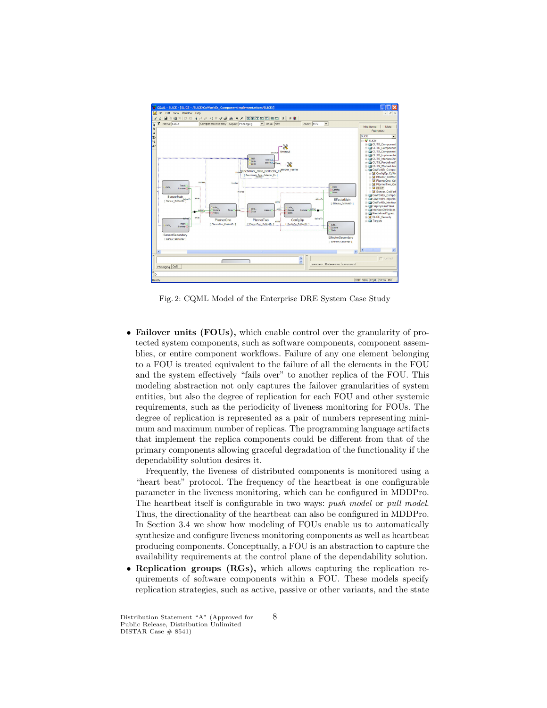

Fig. 2: CQML Model of the Enterprise DRE System Case Study

• Failover units (FOUs), which enable control over the granularity of protected system components, such as software components, component assemblies, or entire component workflows. Failure of any one element belonging to a FOU is treated equivalent to the failure of all the elements in the FOU and the system effectively "fails over" to another replica of the FOU. This modeling abstraction not only captures the failover granularities of system entities, but also the degree of replication for each FOU and other systemic requirements, such as the periodicity of liveness monitoring for FOUs. The degree of replication is represented as a pair of numbers representing minimum and maximum number of replicas. The programming language artifacts that implement the replica components could be different from that of the primary components allowing graceful degradation of the functionality if the dependability solution desires it.

Frequently, the liveness of distributed components is monitored using a "heart beat" protocol. The frequency of the heartbeat is one configurable parameter in the liveness monitoring, which can be configured in MDDPro. The heartbeat itself is configurable in two ways: push model or pull model. Thus, the directionality of the heartbeat can also be configured in MDDPro. In Section 3.4 we show how modeling of FOUs enable us to automatically synthesize and configure liveness monitoring components as well as heartbeat producing components. Conceptually, a FOU is an abstraction to capture the availability requirements at the control plane of the dependability solution.

• Replication groups (RGs), which allows capturing the replication requirements of software components within a FOU. These models specify replication strategies, such as active, passive or other variants, and the state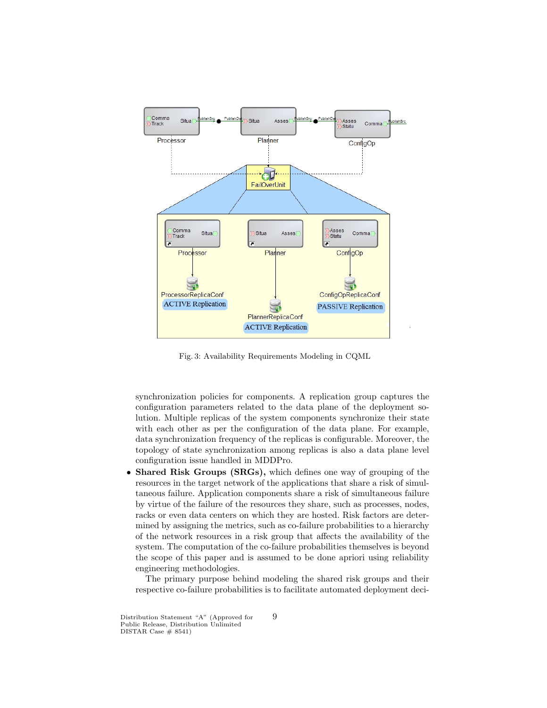

Fig. 3: Availability Requirements Modeling in CQML

synchronization policies for components. A replication group captures the configuration parameters related to the data plane of the deployment solution. Multiple replicas of the system components synchronize their state with each other as per the configuration of the data plane. For example, data synchronization frequency of the replicas is configurable. Moreover, the topology of state synchronization among replicas is also a data plane level configuration issue handled in MDDPro.

Shared Risk Groups (SRGs), which defines one way of grouping of the resources in the target network of the applications that share a risk of simultaneous failure. Application components share a risk of simultaneous failure by virtue of the failure of the resources they share, such as processes, nodes, racks or even data centers on which they are hosted. Risk factors are determined by assigning the metrics, such as co-failure probabilities to a hierarchy of the network resources in a risk group that affects the availability of the system. The computation of the co-failure probabilities themselves is beyond the scope of this paper and is assumed to be done apriori using reliability engineering methodologies.

The primary purpose behind modeling the shared risk groups and their respective co-failure probabilities is to facilitate automated deployment deci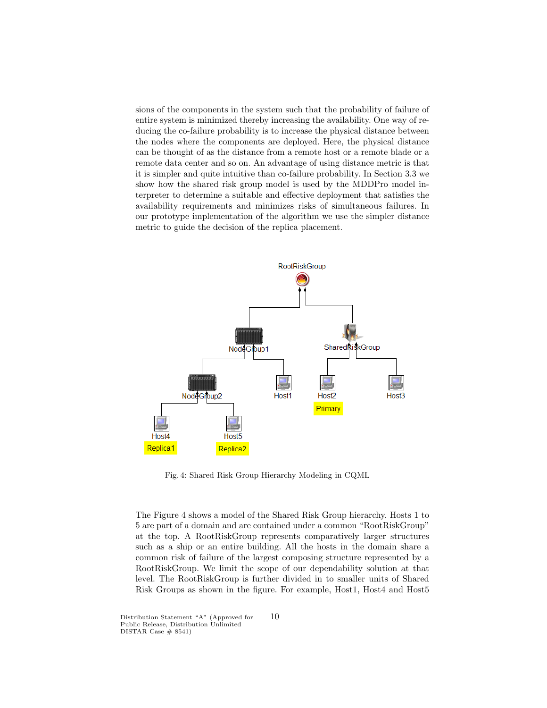sions of the components in the system such that the probability of failure of entire system is minimized thereby increasing the availability. One way of reducing the co-failure probability is to increase the physical distance between the nodes where the components are deployed. Here, the physical distance can be thought of as the distance from a remote host or a remote blade or a remote data center and so on. An advantage of using distance metric is that it is simpler and quite intuitive than co-failure probability. In Section 3.3 we show how the shared risk group model is used by the MDDPro model interpreter to determine a suitable and effective deployment that satisfies the availability requirements and minimizes risks of simultaneous failures. In our prototype implementation of the algorithm we use the simpler distance metric to guide the decision of the replica placement.



Fig. 4: Shared Risk Group Hierarchy Modeling in CQML

The Figure 4 shows a model of the Shared Risk Group hierarchy. Hosts 1 to 5 are part of a domain and are contained under a common "RootRiskGroup" at the top. A RootRiskGroup represents comparatively larger structures such as a ship or an entire building. All the hosts in the domain share a common risk of failure of the largest composing structure represented by a RootRiskGroup. We limit the scope of our dependability solution at that level. The RootRiskGroup is further divided in to smaller units of Shared Risk Groups as shown in the figure. For example, Host1, Host4 and Host5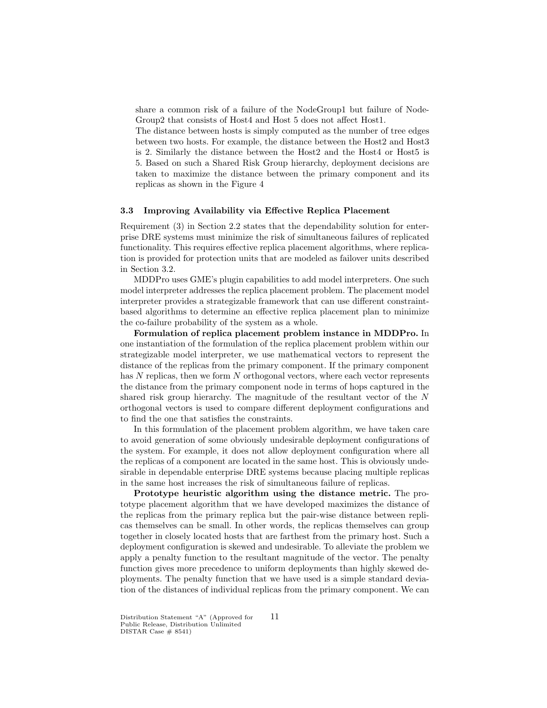share a common risk of a failure of the NodeGroup1 but failure of Node-Group2 that consists of Host4 and Host 5 does not affect Host1.

The distance between hosts is simply computed as the number of tree edges between two hosts. For example, the distance between the Host2 and Host3 is 2. Similarly the distance between the Host2 and the Host4 or Host5 is 5. Based on such a Shared Risk Group hierarchy, deployment decisions are taken to maximize the distance between the primary component and its replicas as shown in the Figure 4

#### 3.3 Improving Availability via Effective Replica Placement

Requirement (3) in Section 2.2 states that the dependability solution for enterprise DRE systems must minimize the risk of simultaneous failures of replicated functionality. This requires effective replica placement algorithms, where replication is provided for protection units that are modeled as failover units described in Section 3.2.

MDDPro uses GME's plugin capabilities to add model interpreters. One such model interpreter addresses the replica placement problem. The placement model interpreter provides a strategizable framework that can use different constraintbased algorithms to determine an effective replica placement plan to minimize the co-failure probability of the system as a whole.

Formulation of replica placement problem instance in MDDPro. In one instantiation of the formulation of the replica placement problem within our strategizable model interpreter, we use mathematical vectors to represent the distance of the replicas from the primary component. If the primary component has N replicas, then we form N orthogonal vectors, where each vector represents the distance from the primary component node in terms of hops captured in the shared risk group hierarchy. The magnitude of the resultant vector of the N orthogonal vectors is used to compare different deployment configurations and to find the one that satisfies the constraints.

In this formulation of the placement problem algorithm, we have taken care to avoid generation of some obviously undesirable deployment configurations of the system. For example, it does not allow deployment configuration where all the replicas of a component are located in the same host. This is obviously undesirable in dependable enterprise DRE systems because placing multiple replicas in the same host increases the risk of simultaneous failure of replicas.

Prototype heuristic algorithm using the distance metric. The prototype placement algorithm that we have developed maximizes the distance of the replicas from the primary replica but the pair-wise distance between replicas themselves can be small. In other words, the replicas themselves can group together in closely located hosts that are farthest from the primary host. Such a deployment configuration is skewed and undesirable. To alleviate the problem we apply a penalty function to the resultant magnitude of the vector. The penalty function gives more precedence to uniform deployments than highly skewed deployments. The penalty function that we have used is a simple standard deviation of the distances of individual replicas from the primary component. We can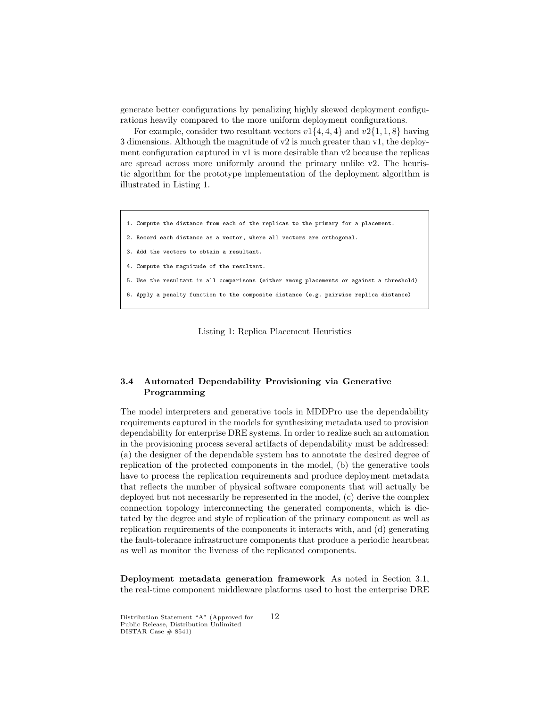generate better configurations by penalizing highly skewed deployment configurations heavily compared to the more uniform deployment configurations.

For example, consider two resultant vectors  $v1\{4, 4, 4\}$  and  $v2\{1, 1, 8\}$  having 3 dimensions. Although the magnitude of v2 is much greater than v1, the deployment configuration captured in v1 is more desirable than v2 because the replicas are spread across more uniformly around the primary unlike v2. The heuristic algorithm for the prototype implementation of the deployment algorithm is illustrated in Listing 1.

```
1. Compute the distance from each of the replicas to the primary for a placement.
2. Record each distance as a vector, where all vectors are orthogonal.
3. Add the vectors to obtain a resultant.
4. Compute the magnitude of the resultant.
5. Use the resultant in all comparisons (either among placements or against a threshold)
6. Apply a penalty function to the composite distance (e.g. pairwise replica distance)
```
Listing 1: Replica Placement Heuristics

# 3.4 Automated Dependability Provisioning via Generative Programming

The model interpreters and generative tools in MDDPro use the dependability requirements captured in the models for synthesizing metadata used to provision dependability for enterprise DRE systems. In order to realize such an automation in the provisioning process several artifacts of dependability must be addressed: (a) the designer of the dependable system has to annotate the desired degree of replication of the protected components in the model, (b) the generative tools have to process the replication requirements and produce deployment metadata that reflects the number of physical software components that will actually be deployed but not necessarily be represented in the model, (c) derive the complex connection topology interconnecting the generated components, which is dictated by the degree and style of replication of the primary component as well as replication requirements of the components it interacts with, and (d) generating the fault-tolerance infrastructure components that produce a periodic heartbeat as well as monitor the liveness of the replicated components.

Deployment metadata generation framework As noted in Section 3.1, the real-time component middleware platforms used to host the enterprise DRE

Distribution Statement "A" (Approved for Public Release, Distribution Unlimited DISTAR Case # 8541) 12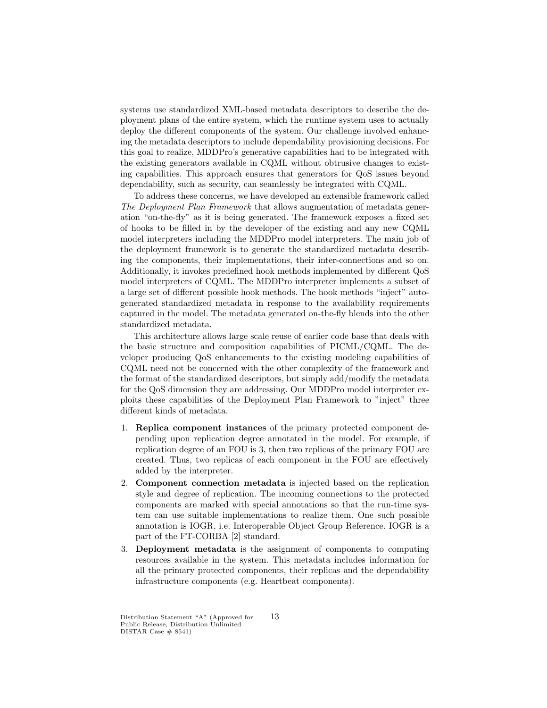systems use standardized XML-based metadata descriptors to describe the deployment plans of the entire system, which the runtime system uses to actually deploy the different components of the system. Our challenge involved enhancing the metadata descriptors to include dependability provisioning decisions. For this goal to realize, MDDPro's generative capabilities had to be integrated with the existing generators available in CQML without obtrusive changes to existing capabilities. This approach ensures that generators for QoS issues beyond dependability, such as security, can seamlessly be integrated with CQML.

To address these concerns, we have developed an extensible framework called The Deployment Plan Framework that allows augmentation of metadata generation "on-the-fly" as it is being generated. The framework exposes a fixed set of hooks to be filled in by the developer of the existing and any new CQML model interpreters including the MDDPro model interpreters. The main job of the deployment framework is to generate the standardized metadata describing the components, their implementations, their inter-connections and so on. Additionally, it invokes predefined hook methods implemented by different QoS model interpreters of CQML. The MDDPro interpreter implements a subset of a large set of different possible hook methods. The hook methods "inject" autogenerated standardized metadata in response to the availability requirements captured in the model. The metadata generated on-the-fly blends into the other standardized metadata.

This architecture allows large scale reuse of earlier code base that deals with the basic structure and composition capabilities of PICML/CQML. The developer producing QoS enhancements to the existing modeling capabilities of CQML need not be concerned with the other complexity of the framework and the format of the standardized descriptors, but simply add/modify the metadata for the QoS dimension they are addressing. Our MDDPro model interpreter exploits these capabilities of the Deployment Plan Framework to "inject" three different kinds of metadata.

- 1. Replica component instances of the primary protected component depending upon replication degree annotated in the model. For example, if replication degree of an FOU is 3, then two replicas of the primary FOU are created. Thus, two replicas of each component in the FOU are effectively added by the interpreter.
- 2. Component connection metadata is injected based on the replication style and degree of replication. The incoming connections to the protected components are marked with special annotations so that the run-time system can use suitable implementations to realize them. One such possible annotation is IOGR, i.e. Interoperable Object Group Reference. IOGR is a part of the FT-CORBA [2] standard.
- 3. Deployment metadata is the assignment of components to computing resources available in the system. This metadata includes information for all the primary protected components, their replicas and the dependability infrastructure components (e.g. Heartbeat components).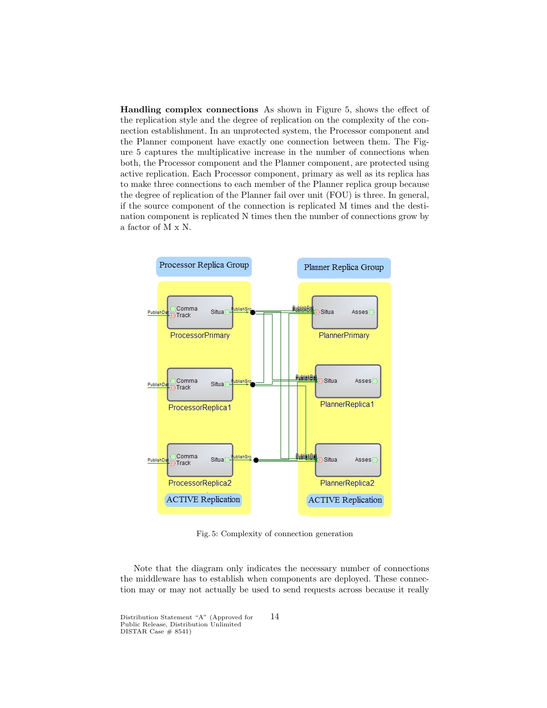Handling complex connections As shown in Figure 5, shows the effect of the replication style and the degree of replication on the complexity of the connection establishment. In an unprotected system, the Processor component and the Planner component have exactly one connection between them. The Figure 5 captures the multiplicative increase in the number of connections when both, the Processor component and the Planner component, are protected using active replication. Each Processor component, primary as well as its replica has to make three connections to each member of the Planner replica group because the degree of replication of the Planner fail over unit (FOU) is three. In general, if the source component of the connection is replicated M times and the destination component is replicated N times then the number of connections grow by a factor of M x N.



Fig. 5: Complexity of connection generation

Note that the diagram only indicates the necessary number of connections the middleware has to establish when components are deployed. These connection may or may not actually be used to send requests across because it really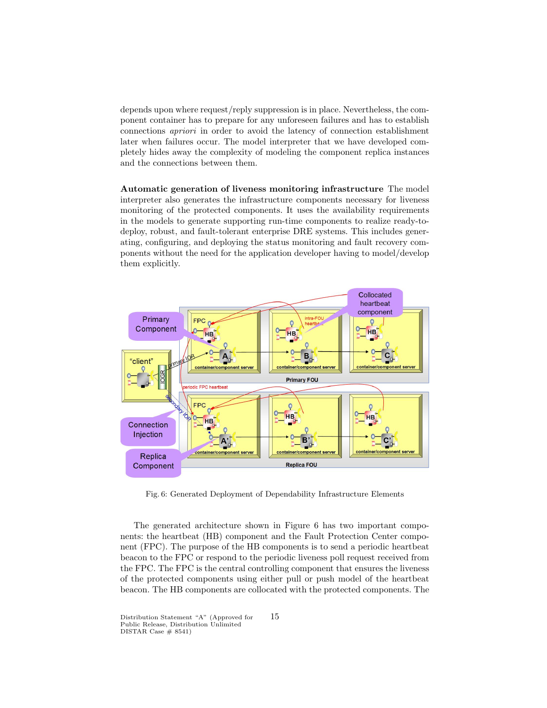depends upon where request/reply suppression is in place. Nevertheless, the component container has to prepare for any unforeseen failures and has to establish connections apriori in order to avoid the latency of connection establishment later when failures occur. The model interpreter that we have developed completely hides away the complexity of modeling the component replica instances and the connections between them.

Automatic generation of liveness monitoring infrastructure The model interpreter also generates the infrastructure components necessary for liveness monitoring of the protected components. It uses the availability requirements in the models to generate supporting run-time components to realize ready-todeploy, robust, and fault-tolerant enterprise DRE systems. This includes generating, configuring, and deploying the status monitoring and fault recovery components without the need for the application developer having to model/develop them explicitly.



Fig. 6: Generated Deployment of Dependability Infrastructure Elements

The generated architecture shown in Figure 6 has two important components: the heartbeat (HB) component and the Fault Protection Center component (FPC). The purpose of the HB components is to send a periodic heartbeat beacon to the FPC or respond to the periodic liveness poll request received from the FPC. The FPC is the central controlling component that ensures the liveness of the protected components using either pull or push model of the heartbeat beacon. The HB components are collocated with the protected components. The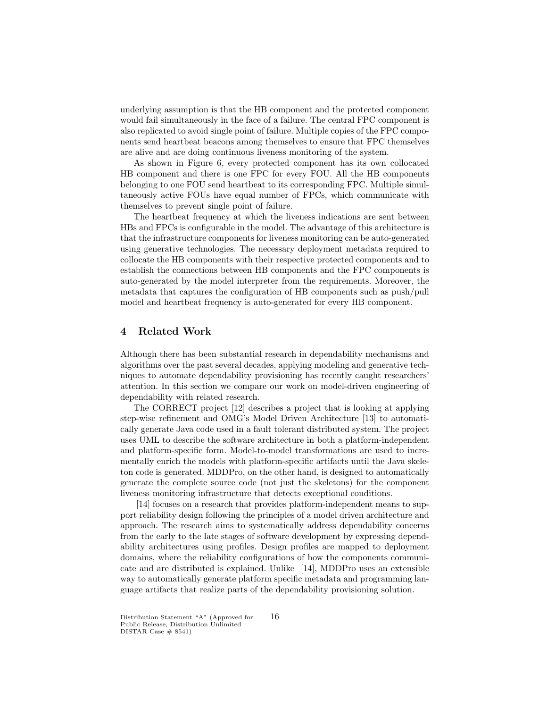underlying assumption is that the HB component and the protected component would fail simultaneously in the face of a failure. The central FPC component is also replicated to avoid single point of failure. Multiple copies of the FPC components send heartbeat beacons among themselves to ensure that FPC themselves are alive and are doing continuous liveness monitoring of the system.

As shown in Figure 6, every protected component has its own collocated HB component and there is one FPC for every FOU. All the HB components belonging to one FOU send heartbeat to its corresponding FPC. Multiple simultaneously active FOUs have equal number of FPCs, which communicate with themselves to prevent single point of failure.

The heartbeat frequency at which the liveness indications are sent between HBs and FPCs is configurable in the model. The advantage of this architecture is that the infrastructure components for liveness monitoring can be auto-generated using generative technologies. The necessary deployment metadata required to collocate the HB components with their respective protected components and to establish the connections between HB components and the FPC components is auto-generated by the model interpreter from the requirements. Moreover, the metadata that captures the configuration of HB components such as push/pull model and heartbeat frequency is auto-generated for every HB component.

# 4 Related Work

Although there has been substantial research in dependability mechanisms and algorithms over the past several decades, applying modeling and generative techniques to automate dependability provisioning has recently caught researchers' attention. In this section we compare our work on model-driven engineering of dependability with related research.

The CORRECT project [12] describes a project that is looking at applying step-wise refinement and OMG's Model Driven Architecture [13] to automatically generate Java code used in a fault tolerant distributed system. The project uses UML to describe the software architecture in both a platform-independent and platform-specific form. Model-to-model transformations are used to incrementally enrich the models with platform-specific artifacts until the Java skeleton code is generated. MDDPro, on the other hand, is designed to automatically generate the complete source code (not just the skeletons) for the component liveness monitoring infrastructure that detects exceptional conditions.

[14] focuses on a research that provides platform-independent means to support reliability design following the principles of a model driven architecture and approach. The research aims to systematically address dependability concerns from the early to the late stages of software development by expressing dependability architectures using profiles. Design profiles are mapped to deployment domains, where the reliability configurations of how the components communicate and are distributed is explained. Unlike [14], MDDPro uses an extensible way to automatically generate platform specific metadata and programming language artifacts that realize parts of the dependability provisioning solution.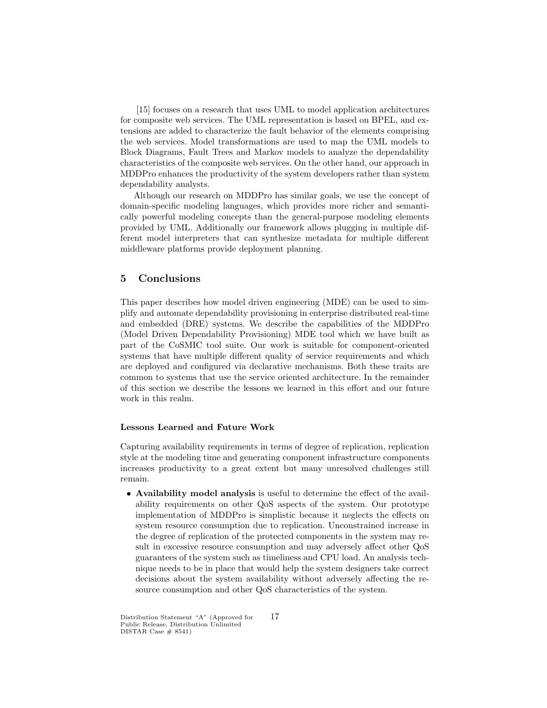[15] focuses on a research that uses UML to model application architectures for composite web services. The UML representation is based on BPEL, and extensions are added to characterize the fault behavior of the elements comprising the web services. Model transformations are used to map the UML models to Block Diagrams, Fault Trees and Markov models to analyze the dependability characteristics of the composite web services. On the other hand, our approach in MDDPro enhances the productivity of the system developers rather than system dependability analysts.

Although our research on MDDPro has similar goals, we use the concept of domain-specific modeling languages, which provides more richer and semantically powerful modeling concepts than the general-purpose modeling elements provided by UML. Additionally our framework allows plugging in multiple different model interpreters that can synthesize metadata for multiple different middleware platforms provide deployment planning.

# 5 Conclusions

This paper describes how model driven engineering (MDE) can be used to simplify and automate dependability provisioning in enterprise distributed real-time and embedded (DRE) systems. We describe the capabilities of the MDDPro (Model Driven Dependability Provisioning) MDE tool which we have built as part of the CoSMIC tool suite. Our work is suitable for component-oriented systems that have multiple different quality of service requirements and which are deployed and configured via declarative mechanisms. Both these traits are common to systems that use the service oriented architecture. In the remainder of this section we describe the lessons we learned in this effort and our future work in this realm.

#### Lessons Learned and Future Work

Capturing availability requirements in terms of degree of replication, replication style at the modeling time and generating component infrastructure components increases productivity to a great extent but many unresolved challenges still remain.

• Availability model analysis is useful to determine the effect of the availability requirements on other QoS aspects of the system. Our prototype implementation of MDDPro is simplistic because it neglects the effects on system resource consumption due to replication. Unconstrained increase in the degree of replication of the protected components in the system may result in excessive resource consumption and may adversely affect other QoS guarantees of the system such as timeliness and CPU load. An analysis technique needs to be in place that would help the system designers take correct decisions about the system availability without adversely affecting the resource consumption and other QoS characteristics of the system.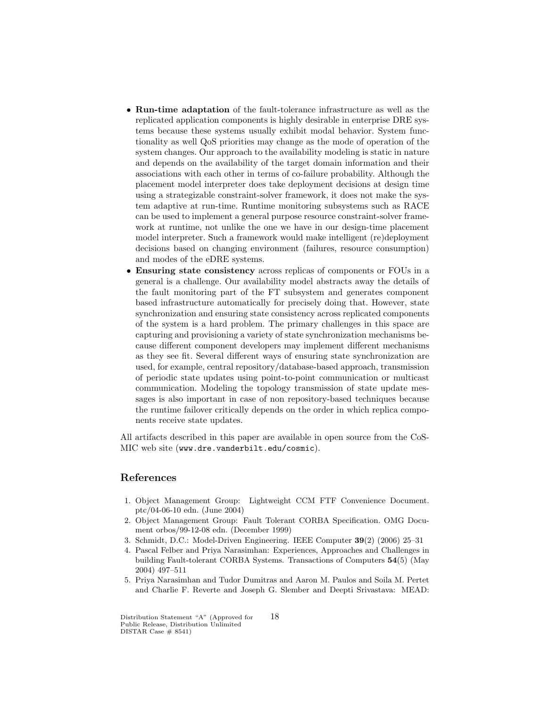- Run-time adaptation of the fault-tolerance infrastructure as well as the replicated application components is highly desirable in enterprise DRE systems because these systems usually exhibit modal behavior. System functionality as well QoS priorities may change as the mode of operation of the system changes. Our approach to the availability modeling is static in nature and depends on the availability of the target domain information and their associations with each other in terms of co-failure probability. Although the placement model interpreter does take deployment decisions at design time using a strategizable constraint-solver framework, it does not make the system adaptive at run-time. Runtime monitoring subsystems such as RACE can be used to implement a general purpose resource constraint-solver framework at runtime, not unlike the one we have in our design-time placement model interpreter. Such a framework would make intelligent (re)deployment decisions based on changing environment (failures, resource consumption) and modes of the eDRE systems.
- Ensuring state consistency across replicas of components or FOUs in a general is a challenge. Our availability model abstracts away the details of the fault monitoring part of the FT subsystem and generates component based infrastructure automatically for precisely doing that. However, state synchronization and ensuring state consistency across replicated components of the system is a hard problem. The primary challenges in this space are capturing and provisioning a variety of state synchronization mechanisms because different component developers may implement different mechanisms as they see fit. Several different ways of ensuring state synchronization are used, for example, central repository/database-based approach, transmission of periodic state updates using point-to-point communication or multicast communication. Modeling the topology transmission of state update messages is also important in case of non repository-based techniques because the runtime failover critically depends on the order in which replica components receive state updates.

All artifacts described in this paper are available in open source from the CoS-MIC web site (www.dre.vanderbilt.edu/cosmic).

# References

- 1. Object Management Group: Lightweight CCM FTF Convenience Document. ptc/04-06-10 edn. (June 2004)
- 2. Object Management Group: Fault Tolerant CORBA Specification. OMG Document orbos/99-12-08 edn. (December 1999)
- 3. Schmidt, D.C.: Model-Driven Engineering. IEEE Computer 39(2) (2006) 25–31
- 4. Pascal Felber and Priya Narasimhan: Experiences, Approaches and Challenges in building Fault-tolerant CORBA Systems. Transactions of Computers 54(5) (May 2004) 497–511
- 5. Priya Narasimhan and Tudor Dumitras and Aaron M. Paulos and Soila M. Pertet and Charlie F. Reverte and Joseph G. Slember and Deepti Srivastava: MEAD: